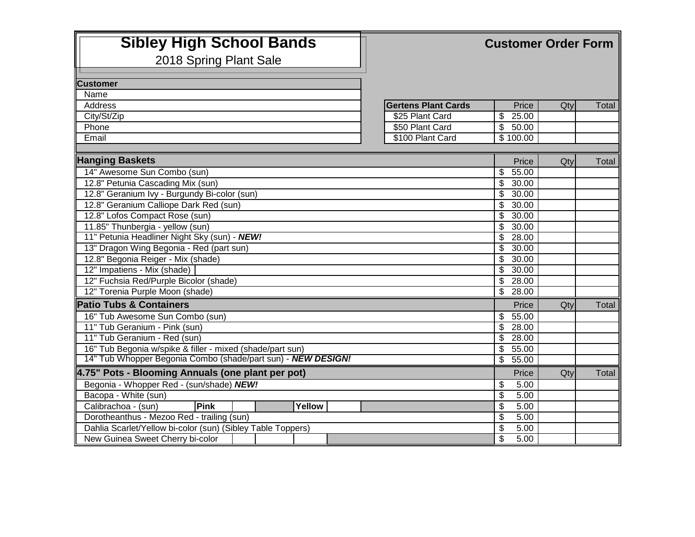| <b>Sibley High School Bands</b>                              |                            |                                           | <b>Customer Order Form</b> |       |  |  |
|--------------------------------------------------------------|----------------------------|-------------------------------------------|----------------------------|-------|--|--|
| 2018 Spring Plant Sale                                       |                            |                                           |                            |       |  |  |
|                                                              |                            |                                           |                            |       |  |  |
| <b>Customer</b>                                              |                            |                                           |                            |       |  |  |
| Name                                                         |                            |                                           |                            |       |  |  |
| <b>Address</b>                                               | <b>Gertens Plant Cards</b> | Price                                     | Qty                        | Total |  |  |
| City/St/Zip                                                  | \$25 Plant Card            | 25.00<br>\$                               |                            |       |  |  |
| Phone                                                        | \$50 Plant Card            | \$<br>50.00                               |                            |       |  |  |
| Email                                                        | \$100 Plant Card           | \$100.00                                  |                            |       |  |  |
|                                                              |                            |                                           |                            |       |  |  |
| <b>Hanging Baskets</b>                                       |                            | Price                                     | Qty                        | Total |  |  |
| 14" Awesome Sun Combo (sun)                                  |                            | \$<br>55.00                               |                            |       |  |  |
| 12.8" Petunia Cascading Mix (sun)                            |                            | \$<br>30.00                               |                            |       |  |  |
| 12.8" Geranium Ivy - Burgundy Bi-color (sun)                 |                            | S<br>30.00                                |                            |       |  |  |
| 12.8" Geranium Calliope Dark Red (sun)                       |                            | \$<br>30.00                               |                            |       |  |  |
| 12.8" Lofos Compact Rose (sun)                               |                            | \$<br>30.00                               |                            |       |  |  |
| 11.85" Thunbergia - yellow (sun)                             |                            | \$<br>30.00                               |                            |       |  |  |
| 11" Petunia Headliner Night Sky (sun) - NEW!                 |                            | \$<br>28.00                               |                            |       |  |  |
| 13" Dragon Wing Begonia - Red (part sun)                     |                            | $\overline{\boldsymbol{\theta}}$<br>30.00 |                            |       |  |  |
| 12.8" Begonia Reiger - Mix (shade)                           |                            | \$<br>30.00                               |                            |       |  |  |
| 12" Impatiens - Mix (shade)                                  |                            | \$<br>30.00                               |                            |       |  |  |
| 12" Fuchsia Red/Purple Bicolor (shade)                       |                            | \$<br>28.00                               |                            |       |  |  |
| 12" Torenia Purple Moon (shade)                              |                            | \$<br>28.00                               |                            |       |  |  |
| <b>Patio Tubs &amp; Containers</b>                           |                            | Price                                     | Qty                        | Total |  |  |
| 16" Tub Awesome Sun Combo (sun)                              |                            | \$<br>55.00                               |                            |       |  |  |
| 11" Tub Geranium - Pink (sun)                                |                            | \$<br>28.00                               |                            |       |  |  |
| 11" Tub Geranium - Red (sun)                                 |                            | $\boldsymbol{\mathsf{s}}$<br>28.00        |                            |       |  |  |
| 16" Tub Begonia w/spike & filler - mixed (shade/part sun)    |                            | $\overline{\mathbf{3}}$<br>55.00          |                            |       |  |  |
| 14" Tub Whopper Begonia Combo (shade/part sun) - NEW DESIGN! |                            | \$<br>55.00                               |                            |       |  |  |
| 4.75" Pots - Blooming Annuals (one plant per pot)            |                            | Price                                     | Qty                        | Total |  |  |
| Begonia - Whopper Red - (sun/shade) NEW!                     |                            | \$<br>5.00                                |                            |       |  |  |
| Bacopa - White (sun)                                         |                            | $\overline{\boldsymbol{\theta}}$<br>5.00  |                            |       |  |  |
| Calibrachoa - (sun)<br>Pink<br>Yellow                        |                            | $\overline{\mathcal{S}}$<br>5.00          |                            |       |  |  |
| Dorotheanthus - Mezoo Red - trailing (sun)                   |                            | $\boldsymbol{\theta}$<br>5.00             |                            |       |  |  |
| Dahlia Scarlet/Yellow bi-color (sun) (Sibley Table Toppers)  |                            | \$<br>5.00                                |                            |       |  |  |
| New Guinea Sweet Cherry bi-color                             |                            | $\overline{\mathcal{S}}$<br>5.00          |                            |       |  |  |